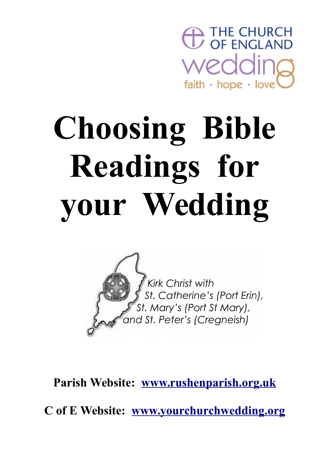<sup>THE</sup> CHURCH<br>
OF ENGLAND weddir faith  $\cdot$  hope  $\cdot$  love

# **Choosing Bible Readings for your Wedding**



**Parish Website: [www.rushenparish.org.uk](http://www.rushenparish.org.uk/)**

**C of E Website: [www.yourchurchwedding.org](http://www.yourchurchwedding.org/)**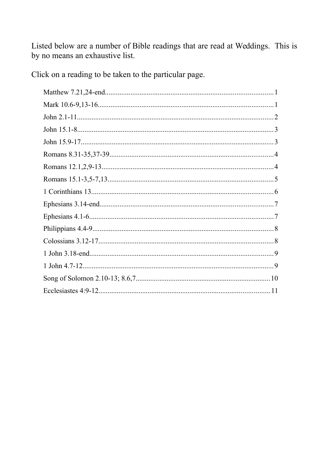Listed below are a number of Bible readings that are read at Weddings. This is by no means an exhaustive list.

<span id="page-1-0"></span>Click on a reading to be taken to the particular page.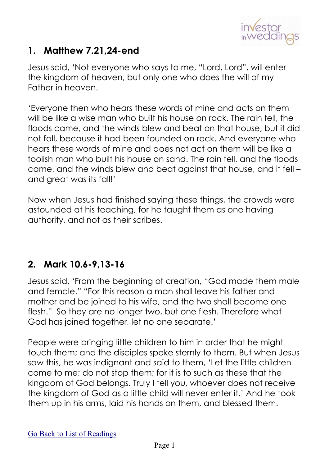

# <span id="page-2-1"></span>**1. Matthew 7.21,24-end**

Jesus said, 'Not everyone who says to me, "Lord, Lord", will enter the kingdom of heaven, but only one who does the will of my Father in heaven.

'Everyone then who hears these words of mine and acts on them will be like a wise man who built his house on rock. The rain fell, the floods came, and the winds blew and beat on that house, but it did not fall, because it had been founded on rock. And everyone who hears these words of mine and does not act on them will be like a foolish man who built his house on sand. The rain fell, and the floods came, and the winds blew and beat against that house, and it fell – and great was its fall!'

Now when Jesus had finished saying these things, the crowds were astounded at his teaching, for he taught them as one having authority, and not as their scribes.

### <span id="page-2-0"></span>**2. Mark 10.6-9,13-16**

Jesus said, 'From the beginning of creation, "God made them male and female." "For this reason a man shall leave his father and mother and be joined to his wife, and the two shall become one flesh." So they are no longer two, but one flesh. Therefore what God has joined together, let no one separate.'

People were bringing little children to him in order that he might touch them; and the disciples spoke sternly to them. But when Jesus saw this, he was indignant and said to them, 'Let the little children come to me; do not stop them; for it is to such as these that the kingdom of God belongs. Truly I tell you, whoever does not receive the kingdom of God as a little child will never enter it.' And he took them up in his arms, laid his hands on them, and blessed them.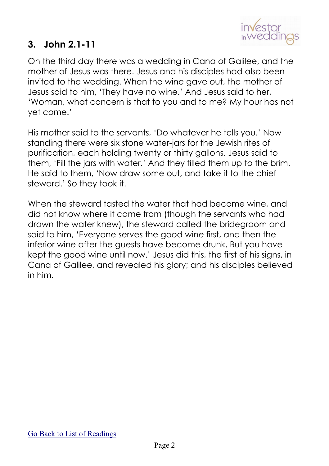

## <span id="page-3-0"></span>**3. John 2.1-11**

On the third day there was a wedding in Cana of Galilee, and the mother of Jesus was there. Jesus and his disciples had also been invited to the wedding. When the wine gave out, the mother of Jesus said to him, 'They have no wine.' And Jesus said to her, 'Woman, what concern is that to you and to me? My hour has not yet come.'

His mother said to the servants, 'Do whatever he tells you.' Now standing there were six stone water-jars for the Jewish rites of purification, each holding twenty or thirty gallons. Jesus said to them, 'Fill the jars with water.' And they filled them up to the brim. He said to them, 'Now draw some out, and take it to the chief steward.' So they took it.

When the steward tasted the water that had become wine, and did not know where it came from (though the servants who had drawn the water knew), the steward called the bridegroom and said to him, 'Everyone serves the good wine first, and then the inferior wine after the guests have become drunk. But you have kept the good wine until now.' Jesus did this, the first of his signs, in Cana of Galilee, and revealed his glory; and his disciples believed in him.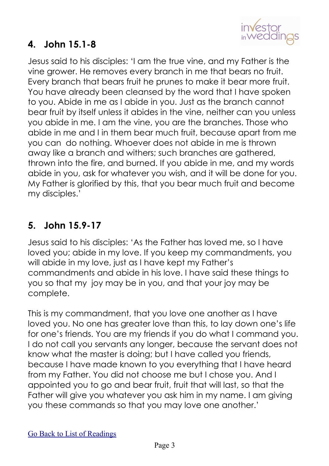

## <span id="page-4-1"></span>**4. John 15.1-8**

Jesus said to his disciples: 'I am the true vine, and my Father is the vine grower. He removes every branch in me that bears no fruit. Every branch that bears fruit he prunes to make it bear more fruit. You have already been cleansed by the word that I have spoken to you. Abide in me as I abide in you. Just as the branch cannot bear fruit by itself unless it abides in the vine, neither can you unless you abide in me. I am the vine, you are the branches. Those who abide in me and I in them bear much fruit, because apart from me you can do nothing. Whoever does not abide in me is thrown away like a branch and withers; such branches are gathered, thrown into the fire, and burned. If you abide in me, and my words abide in you, ask for whatever you wish, and it will be done for you. My Father is glorified by this, that you bear much fruit and become my disciples.'

## <span id="page-4-0"></span>**5. John 15.9-17**

Jesus said to his disciples: 'As the Father has loved me, so I have loved you; abide in my love. If you keep my commandments, you will abide in my love, just as I have kept my Father's commandments and abide in his love. I have said these things to you so that my joy may be in you, and that your joy may be complete.

This is my commandment, that you love one another as I have loved you. No one has greater love than this, to lay down one's life for one's friends. You are my friends if you do what I command you. I do not call you servants any longer, because the servant does not know what the master is doing; but I have called you friends, because I have made known to you everything that I have heard from my Father. You did not choose me but I chose you. And I appointed you to go and bear fruit, fruit that will last, so that the Father will give you whatever you ask him in my name. I am giving you these commands so that you may love one another.'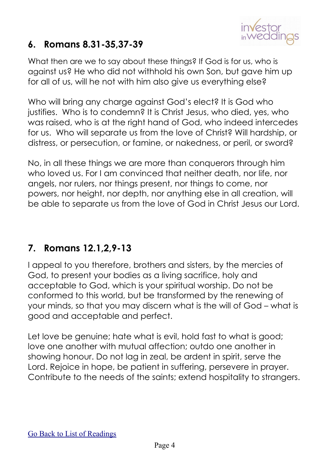

# <span id="page-5-1"></span>**6. Romans 8.31-35,37-39**

What then are we to say about these things? If God is for us, who is against us? He who did not withhold his own Son, but gave him up for all of us, will he not with him also give us everything else?

Who will bring any charge against God's elect? It is God who justifies. Who is to condemn? It is Christ Jesus, who died, yes, who was raised, who is at the right hand of God, who indeed intercedes for us. Who will separate us from the love of Christ? Will hardship, or distress, or persecution, or famine, or nakedness, or peril, or sword?

No, in all these things we are more than conquerors through him who loved us. For I am convinced that neither death, nor life, nor angels, nor rulers, nor things present, nor things to come, nor powers, nor height, nor depth, nor anything else in all creation, will be able to separate us from the love of God in Christ Jesus our Lord.

# <span id="page-5-0"></span>**7. Romans 12.1,2,9-13**

I appeal to you therefore, brothers and sisters, by the mercies of God, to present your bodies as a living sacrifice, holy and acceptable to God, which is your spiritual worship. Do not be conformed to this world, but be transformed by the renewing of your minds, so that you may discern what is the will of God – what is good and acceptable and perfect.

Let love be genuine; hate what is evil, hold fast to what is good; love one another with mutual affection; outdo one another in showing honour. Do not lag in zeal, be ardent in spirit, serve the Lord. Rejoice in hope, be patient in suffering, persevere in prayer. Contribute to the needs of the saints; extend hospitality to strangers.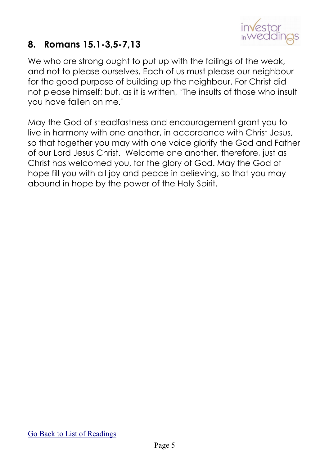

# <span id="page-6-0"></span>**8. Romans 15.1-3,5-7,13**

We who are strong ought to put up with the failings of the weak, and not to please ourselves. Each of us must please our neighbour for the good purpose of building up the neighbour. For Christ did not please himself; but, as it is written, 'The insults of those who insult you have fallen on me.'

May the God of steadfastness and encouragement grant you to live in harmony with one another, in accordance with Christ Jesus, so that together you may with one voice glorify the God and Father of our Lord Jesus Christ. Welcome one another, therefore, just as Christ has welcomed you, for the glory of God. May the God of hope fill you with all joy and peace in believing, so that you may abound in hope by the power of the Holy Spirit.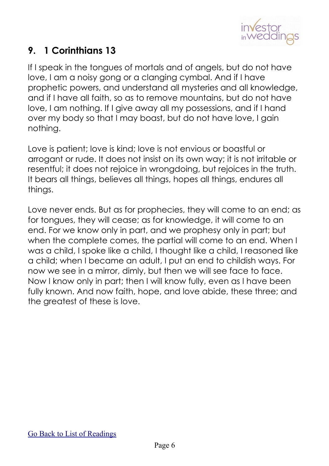

# <span id="page-7-0"></span>**9. 1 Corinthians 13**

If I speak in the tongues of mortals and of angels, but do not have love, I am a noisy gong or a clanging cymbal. And if I have prophetic powers, and understand all mysteries and all knowledge, and if I have all faith, so as to remove mountains, but do not have love, I am nothing. If I give away all my possessions, and if I hand over my body so that I may boast, but do not have love, I gain nothing.

Love is patient; love is kind; love is not envious or boastful or arrogant or rude. It does not insist on its own way; it is not irritable or resentful; it does not rejoice in wrongdoing, but rejoices in the truth. It bears all things, believes all things, hopes all things, endures all things.

Love never ends. But as for prophecies, they will come to an end; as for tongues, they will cease; as for knowledge, it will come to an end. For we know only in part, and we prophesy only in part; but when the complete comes, the partial will come to an end. When I was a child, I spoke like a child, I thought like a child, I reasoned like a child; when I became an adult, I put an end to childish ways. For now we see in a mirror, dimly, but then we will see face to face. Now I know only in part; then I will know fully, even as I have been fully known. And now faith, hope, and love abide, these three; and the greatest of these is love.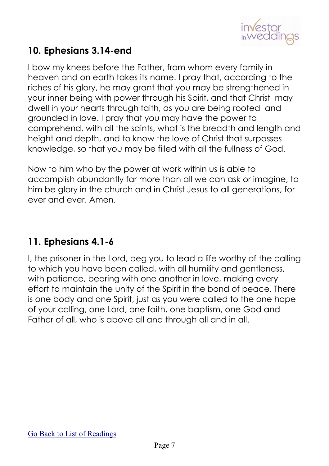

# <span id="page-8-1"></span>**10. Ephesians 3.14-end**

I bow my knees before the Father, from whom every family in heaven and on earth takes its name. I pray that, according to the riches of his glory, he may grant that you may be strengthened in your inner being with power through his Spirit, and that Christ may dwell in your hearts through faith, as you are being rooted and grounded in love. I pray that you may have the power to comprehend, with all the saints, what is the breadth and length and height and depth, and to know the love of Christ that surpasses knowledge, so that you may be filled with all the fullness of God.

Now to him who by the power at work within us is able to accomplish abundantly far more than all we can ask or imagine, to him be glory in the church and in Christ Jesus to all generations, for ever and ever. Amen.

### <span id="page-8-0"></span>**11. Ephesians 4.1-6**

I, the prisoner in the Lord, beg you to lead a life worthy of the calling to which you have been called, with all humility and gentleness, with patience, bearing with one another in love, making every effort to maintain the unity of the Spirit in the bond of peace. There is one body and one Spirit, just as you were called to the one hope of your calling, one Lord, one faith, one baptism, one God and Father of all, who is above all and through all and in all.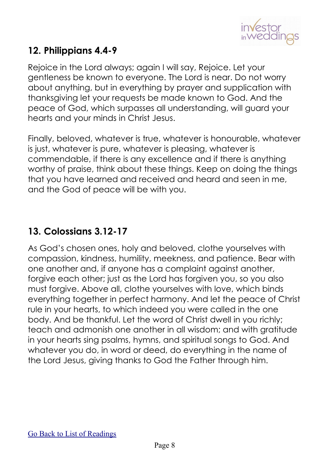

# <span id="page-9-1"></span>**12. Philippians 4.4-9**

Rejoice in the Lord always; again I will say, Rejoice. Let your gentleness be known to everyone. The Lord is near. Do not worry about anything, but in everything by prayer and supplication with thanksgiving let your requests be made known to God. And the peace of God, which surpasses all understanding, will guard your hearts and your minds in Christ Jesus.

Finally, beloved, whatever is true, whatever is honourable, whatever is just, whatever is pure, whatever is pleasing, whatever is commendable, if there is any excellence and if there is anything worthy of praise, think about these things. Keep on doing the things that you have learned and received and heard and seen in me, and the God of peace will be with you.

## <span id="page-9-0"></span>**13. Colossians 3.12-17**

As God's chosen ones, holy and beloved, clothe yourselves with compassion, kindness, humility, meekness, and patience. Bear with one another and, if anyone has a complaint against another, forgive each other; just as the Lord has forgiven you, so you also must forgive. Above all, clothe yourselves with love, which binds everything together in perfect harmony. And let the peace of Christ rule in your hearts, to which indeed you were called in the one body. And be thankful. Let the word of Christ dwell in you richly; teach and admonish one another in all wisdom; and with gratitude in your hearts sing psalms, hymns, and spiritual songs to God. And whatever you do, in word or deed, do everything in the name of the Lord Jesus, giving thanks to God the Father through him.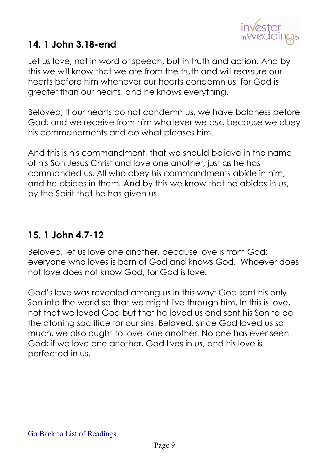

# <span id="page-10-1"></span>**14. 1 John 3.18-end**

Let us love, not in word or speech, but in truth and action. And by this we will know that we are from the truth and will reassure our hearts before him whenever our hearts condemn us; for God is greater than our hearts, and he knows everything.

Beloved, if our hearts do not condemn us, we have boldness before God; and we receive from him whatever we ask, because we obey his commandments and do what pleases him.

And this is his commandment, that we should believe in the name of his Son Jesus Christ and love one another, just as he has commanded us. All who obey his commandments abide in him, and he abides in them. And by this we know that he abides in us, by the Spirit that he has given us.

# <span id="page-10-0"></span>**15. 1 John 4.7-12**

Beloved, let us love one another, because love is from God; everyone who loves is born of God and knows God. Whoever does not love does not know God, for God is love.

God's love was revealed among us in this way: God sent his only Son into the world so that we might live through him. In this is love, not that we loved God but that he loved us and sent his Son to be the atoning sacrifice for our sins. Beloved, since God loved us so much, we also ought to love one another. No one has ever seen God; if we love one another, God lives in us, and his love is perfected in us.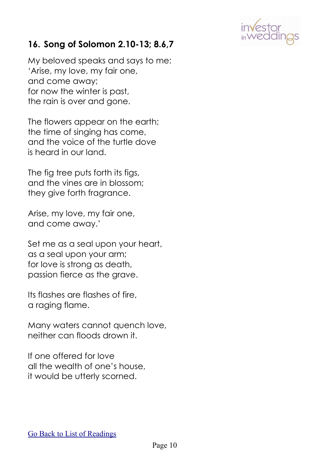

## <span id="page-11-0"></span>**16. Song of Solomon 2.10-13; 8.6,7**

My beloved speaks and says to me: 'Arise, my love, my fair one, and come away; for now the winter is past, the rain is over and gone.

The flowers appear on the earth; the time of singing has come, and the voice of the turtle dove is heard in our land.

The fig tree puts forth its figs, and the vines are in blossom; they give forth fragrance.

Arise, my love, my fair one, and come away.'

Set me as a seal upon your heart, as a seal upon your arm; for love is strong as death, passion fierce as the grave.

Its flashes are flashes of fire, a raging flame.

Many waters cannot quench love, neither can floods drown it.

If one offered for love all the wealth of one's house, it would be utterly scorned.